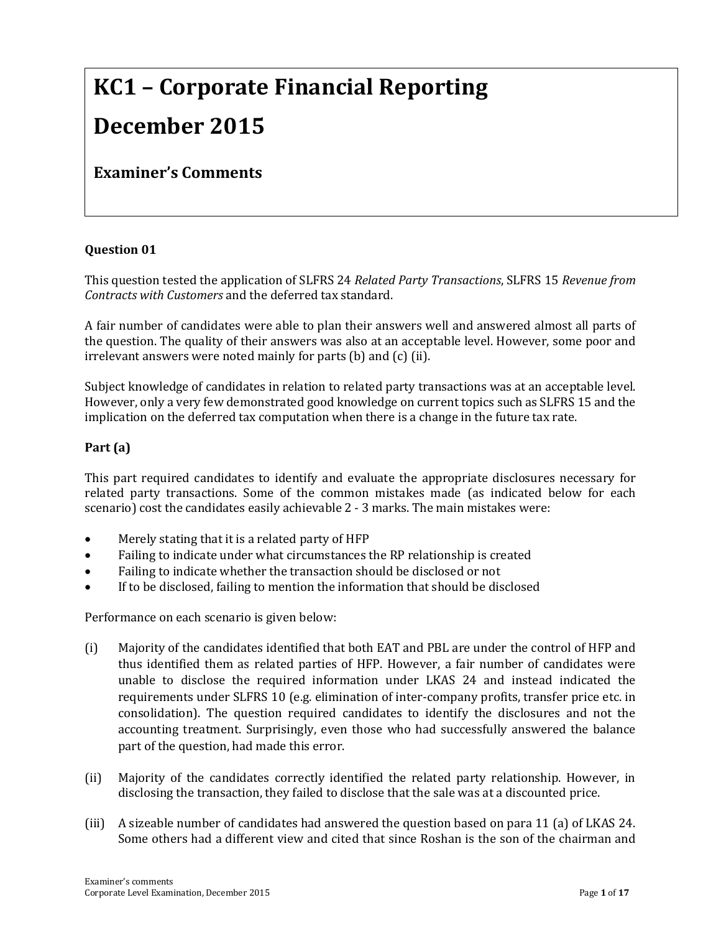# **KC1 – Corporate Financial Reporting**

## **December 2015**

#### **Examiner's Comments**

#### **Question 01**

**(**

This question tested the application of SLFRS 24 *Related Party Transactions*, SLFRS 15 *Revenue from Contracts with Customers* and the deferred tax standard.

A fair number of candidates were able to plan their answers well and answered almost all parts of the question. The quality of their answers was also at an acceptable level. However, some poor and irrelevant answers were noted mainly for parts (b) and (c) (ii).

Subject knowledge of candidates in relation to related party transactions was at an acceptable level. However, only a very few demonstrated good knowledge on current topics such as SLFRS 15 and the implication on the deferred tax computation when there is a change in the future tax rate.

#### **Part (a)**

This part required candidates to identify and evaluate the appropriate disclosures necessary for related party transactions. Some of the common mistakes made (as indicated below for each scenario) cost the candidates easily achievable 2 - 3 marks. The main mistakes were:

- Merely stating that it is a related party of HFP
- Failing to indicate under what circumstances the RP relationship is created
- Failing to indicate whether the transaction should be disclosed or not
- If to be disclosed, failing to mention the information that should be disclosed

Performance on each scenario is given below:

- (i) Majority of the candidates identified that both EAT and PBL are under the control of HFP and thus identified them as related parties of HFP. However, a fair number of candidates were unable to disclose the required information under LKAS 24 and instead indicated the requirements under SLFRS 10 (e.g. elimination of inter-company profits, transfer price etc. in consolidation). The question required candidates to identify the disclosures and not the accounting treatment. Surprisingly, even those who had successfully answered the balance part of the question, had made this error.
- (ii) Majority of the candidates correctly identified the related party relationship. However, in disclosing the transaction, they failed to disclose that the sale was at a discounted price.
- (iii) A sizeable number of candidates had answered the question based on para 11 (a) of LKAS 24. Some others had a different view and cited that since Roshan is the son of the chairman and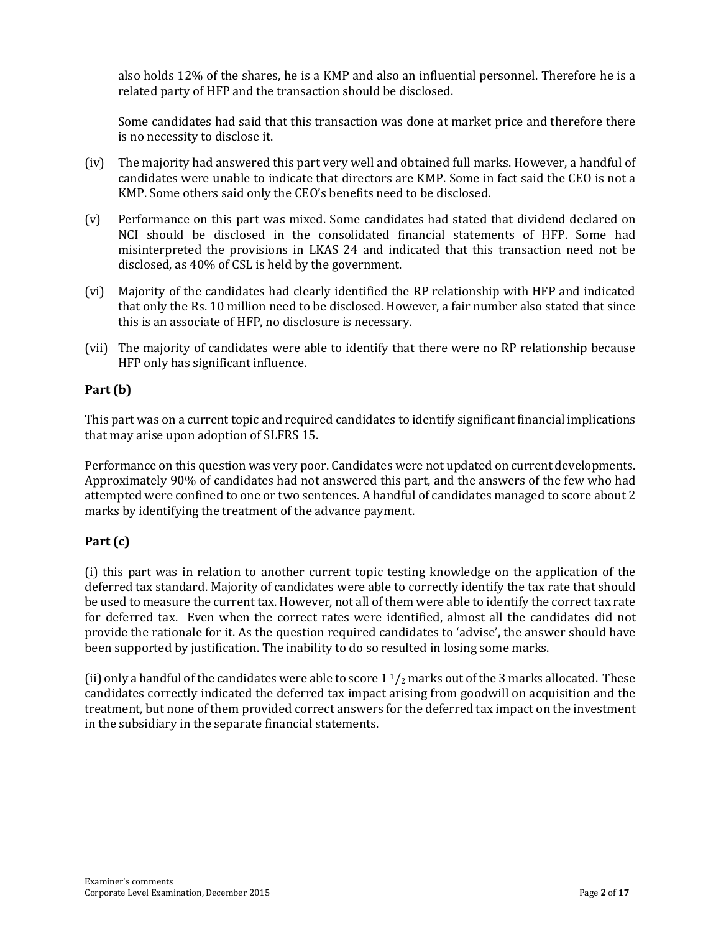also holds 12% of the shares, he is a KMP and also an influential personnel. Therefore he is a related party of HFP and the transaction should be disclosed.

Some candidates had said that this transaction was done at market price and therefore there is no necessity to disclose it.

- (iv) The majority had answered this part very well and obtained full marks. However, a handful of candidates were unable to indicate that directors are KMP. Some in fact said the CEO is not a KMP. Some others said only the CEO's benefits need to be disclosed.
- (v) Performance on this part was mixed. Some candidates had stated that dividend declared on NCI should be disclosed in the consolidated financial statements of HFP. Some had misinterpreted the provisions in LKAS 24 and indicated that this transaction need not be disclosed, as 40% of CSL is held by the government.
- (vi) Majority of the candidates had clearly identified the RP relationship with HFP and indicated that only the Rs. 10 million need to be disclosed. However, a fair number also stated that since this is an associate of HFP, no disclosure is necessary.
- (vii) The majority of candidates were able to identify that there were no RP relationship because HFP only has significant influence.

#### **Part (b)**

This part was on a current topic and required candidates to identify significant financial implications that may arise upon adoption of SLFRS 15.

Performance on this question was very poor. Candidates were not updated on current developments. Approximately 90% of candidates had not answered this part, and the answers of the few who had attempted were confined to one or two sentences. A handful of candidates managed to score about 2 marks by identifying the treatment of the advance payment.

#### **Part (c)**

(i) this part was in relation to another current topic testing knowledge on the application of the deferred tax standard. Majority of candidates were able to correctly identify the tax rate that should be used to measure the current tax. However, not all of them were able to identify the correct tax rate for deferred tax. Even when the correct rates were identified, almost all the candidates did not provide the rationale for it. As the question required candidates to 'advise', the answer should have been supported by justification. The inability to do so resulted in losing some marks.

(ii) only a handful of the candidates were able to score  $1\frac{1}{2}$  marks out of the 3 marks allocated. These candidates correctly indicated the deferred tax impact arising from goodwill on acquisition and the treatment, but none of them provided correct answers for the deferred tax impact on the investment in the subsidiary in the separate financial statements.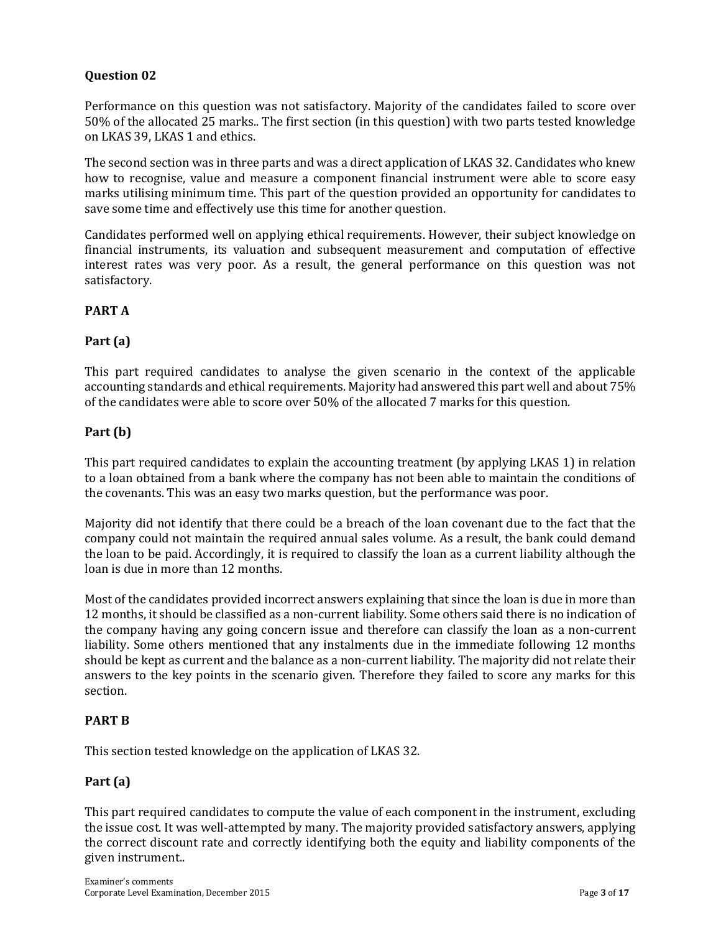#### **Question 02**

Performance on this question was not satisfactory. Majority of the candidates failed to score over 50% of the allocated 25 marks.. The first section (in this question) with two parts tested knowledge on LKAS 39, LKAS 1 and ethics.

The second section was in three parts and was a direct application of LKAS 32. Candidates who knew how to recognise, value and measure a component financial instrument were able to score easy marks utilising minimum time. This part of the question provided an opportunity for candidates to save some time and effectively use this time for another question.

Candidates performed well on applying ethical requirements. However, their subject knowledge on financial instruments, its valuation and subsequent measurement and computation of effective interest rates was very poor. As a result, the general performance on this question was not satisfactory.

#### **PART A**

#### **Part (a)**

This part required candidates to analyse the given scenario in the context of the applicable accounting standards and ethical requirements. Majority had answered this part well and about 75% of the candidates were able to score over 50% of the allocated 7 marks for this question.

#### **Part (b)**

This part required candidates to explain the accounting treatment (by applying LKAS 1) in relation to a loan obtained from a bank where the company has not been able to maintain the conditions of the covenants. This was an easy two marks question, but the performance was poor.

Majority did not identify that there could be a breach of the loan covenant due to the fact that the company could not maintain the required annual sales volume. As a result, the bank could demand the loan to be paid. Accordingly, it is required to classify the loan as a current liability although the loan is due in more than 12 months.

Most of the candidates provided incorrect answers explaining that since the loan is due in more than 12 months, it should be classified as a non-current liability. Some others said there is no indication of the company having any going concern issue and therefore can classify the loan as a non-current liability. Some others mentioned that any instalments due in the immediate following 12 months should be kept as current and the balance as a non-current liability. The majority did not relate their answers to the key points in the scenario given. Therefore they failed to score any marks for this section.

#### **PART B**

This section tested knowledge on the application of LKAS 32.

#### **Part (a)**

This part required candidates to compute the value of each component in the instrument, excluding the issue cost. It was well-attempted by many. The majority provided satisfactory answers, applying the correct discount rate and correctly identifying both the equity and liability components of the given instrument..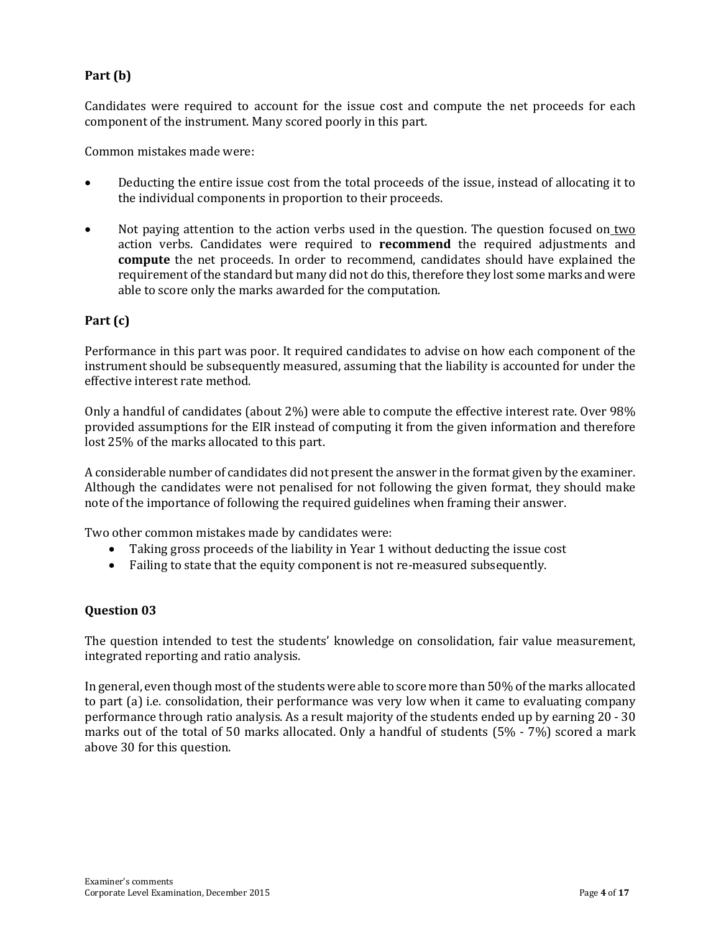#### **Part (b)**

Candidates were required to account for the issue cost and compute the net proceeds for each component of the instrument. Many scored poorly in this part.

Common mistakes made were:

- Deducting the entire issue cost from the total proceeds of the issue, instead of allocating it to the individual components in proportion to their proceeds.
- Not paying attention to the action verbs used in the question. The question focused on two action verbs. Candidates were required to **recommend** the required adjustments and **compute** the net proceeds. In order to recommend, candidates should have explained the requirement of the standard but many did not do this, therefore they lost some marks and were able to score only the marks awarded for the computation.

#### **Part (c)**

Performance in this part was poor. It required candidates to advise on how each component of the instrument should be subsequently measured, assuming that the liability is accounted for under the effective interest rate method.

Only a handful of candidates (about 2%) were able to compute the effective interest rate. Over 98% provided assumptions for the EIR instead of computing it from the given information and therefore lost 25% of the marks allocated to this part.

A considerable number of candidates did not present the answer in the format given by the examiner. Although the candidates were not penalised for not following the given format, they should make note of the importance of following the required guidelines when framing their answer.

Two other common mistakes made by candidates were:

- Taking gross proceeds of the liability in Year 1 without deducting the issue cost
- Failing to state that the equity component is not re-measured subsequently.

#### **Question 03**

The question intended to test the students' knowledge on consolidation, fair value measurement, integrated reporting and ratio analysis.

In general, even though most of the students were able to score more than 50% of the marks allocated to part (a) i.e. consolidation, their performance was very low when it came to evaluating company performance through ratio analysis. As a result majority of the students ended up by earning 20 - 30 marks out of the total of 50 marks allocated. Only a handful of students (5% - 7%) scored a mark above 30 for this question.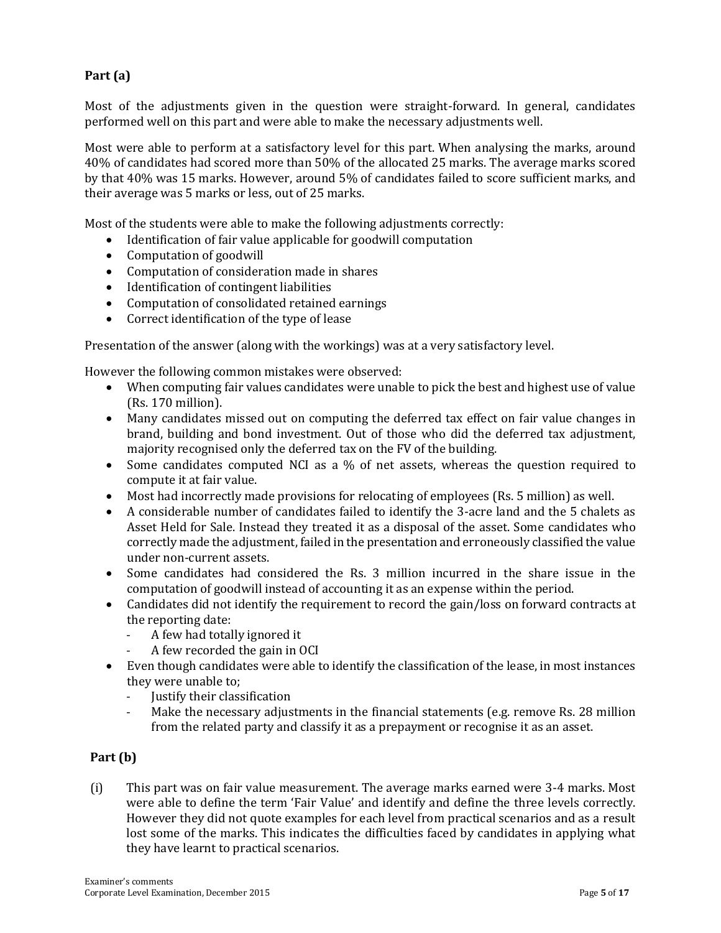#### **Part (a)**

Most of the adjustments given in the question were straight-forward. In general, candidates performed well on this part and were able to make the necessary adjustments well.

Most were able to perform at a satisfactory level for this part. When analysing the marks, around 40% of candidates had scored more than 50% of the allocated 25 marks. The average marks scored by that 40% was 15 marks. However, around 5% of candidates failed to score sufficient marks, and their average was 5 marks or less, out of 25 marks.

Most of the students were able to make the following adjustments correctly:

- Identification of fair value applicable for goodwill computation
- Computation of goodwill
- Computation of consideration made in shares
- Identification of contingent liabilities
- Computation of consolidated retained earnings
- Correct identification of the type of lease

Presentation of the answer (along with the workings) was at a very satisfactory level.

However the following common mistakes were observed:

- When computing fair values candidates were unable to pick the best and highest use of value (Rs. 170 million).
- Many candidates missed out on computing the deferred tax effect on fair value changes in brand, building and bond investment. Out of those who did the deferred tax adjustment, majority recognised only the deferred tax on the FV of the building.
- Some candidates computed NCI as a % of net assets, whereas the question required to compute it at fair value.
- Most had incorrectly made provisions for relocating of employees (Rs. 5 million) as well.
- A considerable number of candidates failed to identify the 3-acre land and the 5 chalets as Asset Held for Sale. Instead they treated it as a disposal of the asset. Some candidates who correctly made the adjustment, failed in the presentation and erroneously classified the value under non-current assets.
- Some candidates had considered the Rs. 3 million incurred in the share issue in the computation of goodwill instead of accounting it as an expense within the period.
- Candidates did not identify the requirement to record the gain/loss on forward contracts at the reporting date:
	- A few had totally ignored it
	- A few recorded the gain in OCI
- Even though candidates were able to identify the classification of the lease, in most instances they were unable to;
	- Iustify their classification
	- Make the necessary adjustments in the financial statements (e.g. remove Rs. 28 million from the related party and classify it as a prepayment or recognise it as an asset.

#### **Part (b)**

(i) This part was on fair value measurement. The average marks earned were 3-4 marks. Most were able to define the term 'Fair Value' and identify and define the three levels correctly. However they did not quote examples for each level from practical scenarios and as a result lost some of the marks. This indicates the difficulties faced by candidates in applying what they have learnt to practical scenarios.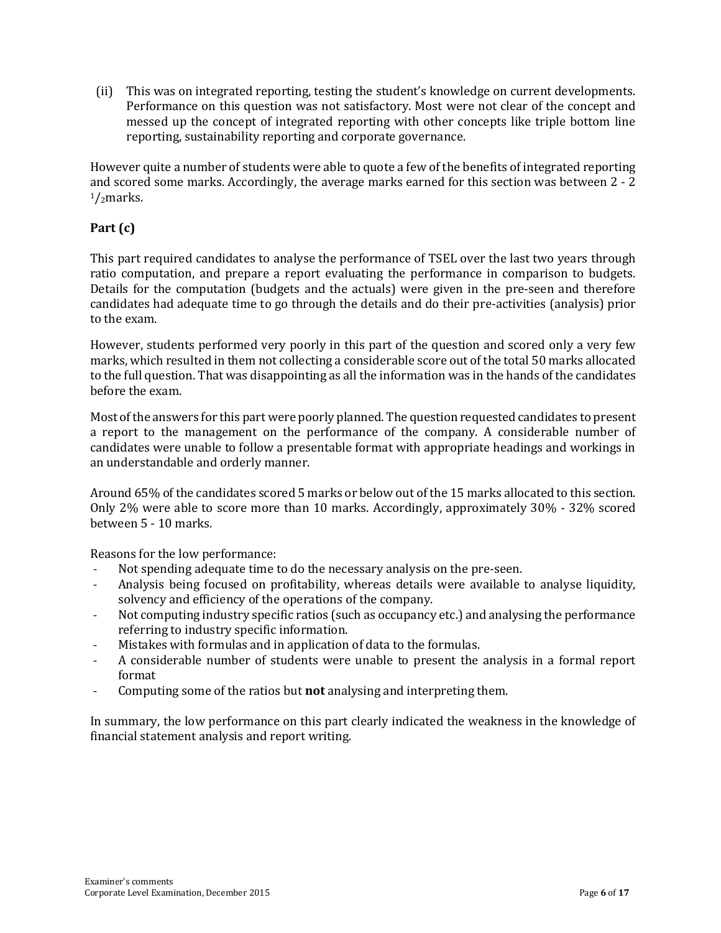(ii) This was on integrated reporting, testing the student's knowledge on current developments. Performance on this question was not satisfactory. Most were not clear of the concept and messed up the concept of integrated reporting with other concepts like triple bottom line reporting, sustainability reporting and corporate governance.

However quite a number of students were able to quote a few of the benefits of integrated reporting and scored some marks. Accordingly, the average marks earned for this section was between 2 - 2  $1/2$ marks.

#### **Part (c)**

This part required candidates to analyse the performance of TSEL over the last two years through ratio computation, and prepare a report evaluating the performance in comparison to budgets. Details for the computation (budgets and the actuals) were given in the pre-seen and therefore candidates had adequate time to go through the details and do their pre-activities (analysis) prior to the exam.

However, students performed very poorly in this part of the question and scored only a very few marks, which resulted in them not collecting a considerable score out of the total 50 marks allocated to the full question. That was disappointing as all the information was in the hands of the candidates before the exam.

Most of the answers for this part were poorly planned. The question requested candidates to present a report to the management on the performance of the company. A considerable number of candidates were unable to follow a presentable format with appropriate headings and workings in an understandable and orderly manner.

Around 65% of the candidates scored 5 marks or below out of the 15 marks allocated to this section. Only 2% were able to score more than 10 marks. Accordingly, approximately 30% - 32% scored between 5 - 10 marks.

Reasons for the low performance:

- Not spending adequate time to do the necessary analysis on the pre-seen.
- Analysis being focused on profitability, whereas details were available to analyse liquidity, solvency and efficiency of the operations of the company.
- Not computing industry specific ratios (such as occupancy etc.) and analysing the performance referring to industry specific information.
- Mistakes with formulas and in application of data to the formulas.
- A considerable number of students were unable to present the analysis in a formal report format
- Computing some of the ratios but **not** analysing and interpreting them.

In summary, the low performance on this part clearly indicated the weakness in the knowledge of financial statement analysis and report writing.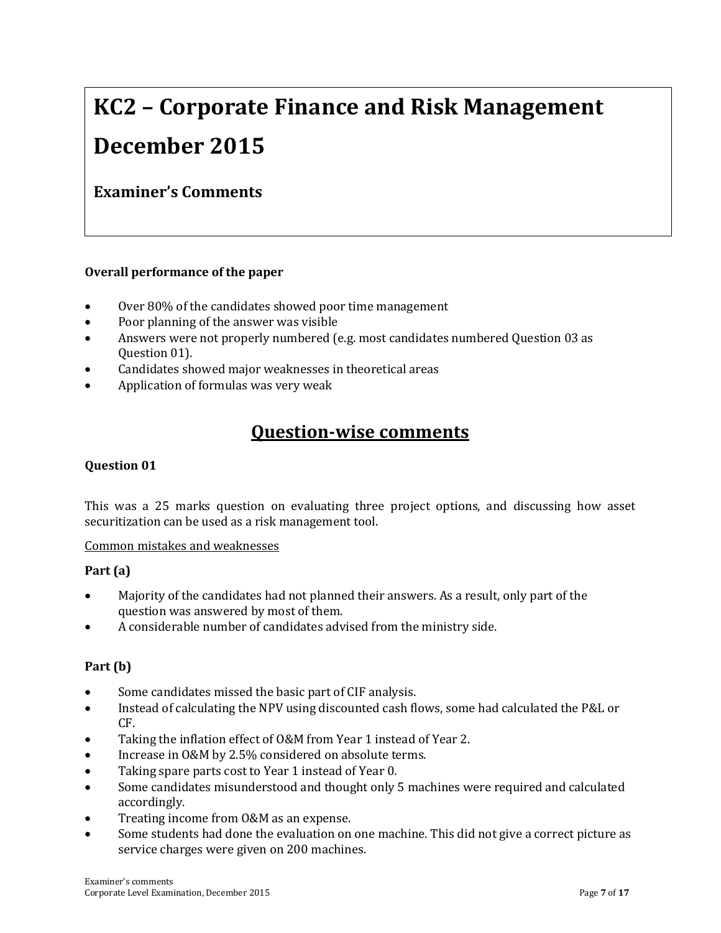## **KC2 – Corporate Finance and Risk Management December 2015**

### **Examiner's Comments**

#### **Overall performance of the paper**

- Over 80% of the candidates showed poor time management
- Poor planning of the answer was visible
- Answers were not properly numbered (e.g. most candidates numbered Question 03 as Question 01).
- Candidates showed major weaknesses in theoretical areas
- Application of formulas was very weak

### **Question-wise comments**

#### **Question 01**

 $\overline{\phantom{a}}$ 

 $\overline{\phantom{a}}$ 

 $\overline{a}$ 

This was a 25 marks question on evaluating three project options, and discussing how asset securitization can be used as a risk management tool.

#### Common mistakes and weaknesses

#### **Part (a)**

- Majority of the candidates had not planned their answers. As a result, only part of the question was answered by most of them.
- A considerable number of candidates advised from the ministry side.

#### **Part (b)**

- Some candidates missed the basic part of CIF analysis.
- Instead of calculating the NPV using discounted cash flows, some had calculated the P&L or CF.
- Taking the inflation effect of O&M from Year 1 instead of Year 2.
- Increase in O&M by 2.5% considered on absolute terms.
- Taking spare parts cost to Year 1 instead of Year 0.
- Some candidates misunderstood and thought only 5 machines were required and calculated accordingly.
- Treating income from O&M as an expense.
- Some students had done the evaluation on one machine. This did not give a correct picture as service charges were given on 200 machines.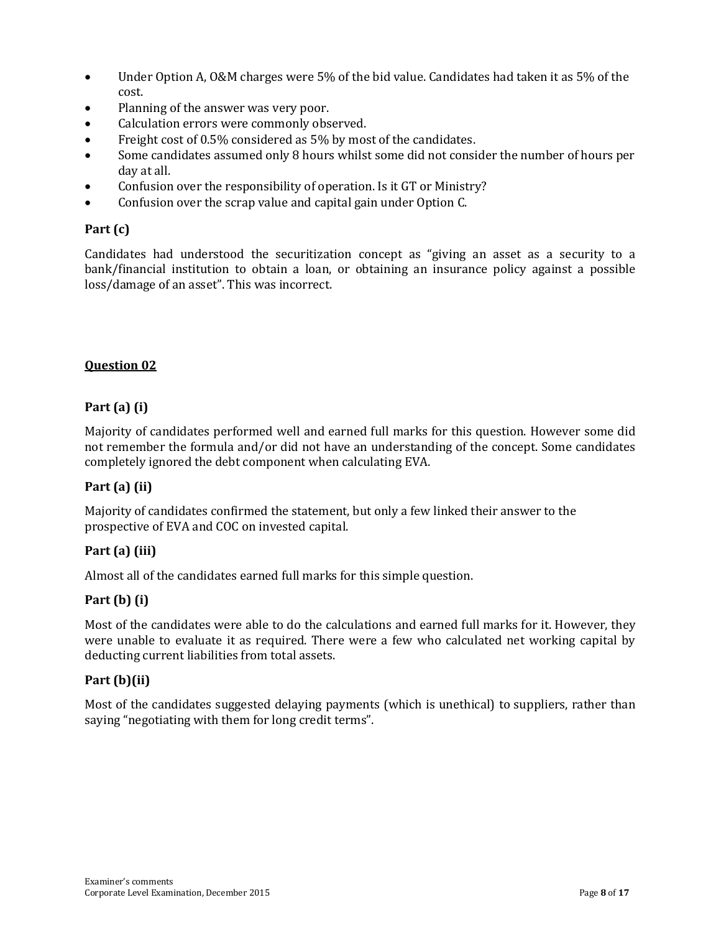- Under Option A, O&M charges were 5% of the bid value. Candidates had taken it as 5% of the cost.
- Planning of the answer was very poor.
- Calculation errors were commonly observed.
- Freight cost of 0.5% considered as 5% by most of the candidates.
- Some candidates assumed only 8 hours whilst some did not consider the number of hours per day at all.
- Confusion over the responsibility of operation. Is it GT or Ministry?
- Confusion over the scrap value and capital gain under Option C.

#### **Part (c)**

Candidates had understood the securitization concept as "giving an asset as a security to a bank/financial institution to obtain a loan, or obtaining an insurance policy against a possible loss/damage of an asset". This was incorrect.

#### **Question 02**

#### **Part (a) (i)**

Majority of candidates performed well and earned full marks for this question. However some did not remember the formula and/or did not have an understanding of the concept. Some candidates completely ignored the debt component when calculating EVA.

#### **Part (a) (ii)**

Majority of candidates confirmed the statement, but only a few linked their answer to the prospective of EVA and COC on invested capital.

#### **Part (a) (iii)**

Almost all of the candidates earned full marks for this simple question.

#### **Part (b) (i)**

Most of the candidates were able to do the calculations and earned full marks for it. However, they were unable to evaluate it as required. There were a few who calculated net working capital by deducting current liabilities from total assets.

#### **Part (b)(ii)**

Most of the candidates suggested delaying payments (which is unethical) to suppliers, rather than saying "negotiating with them for long credit terms".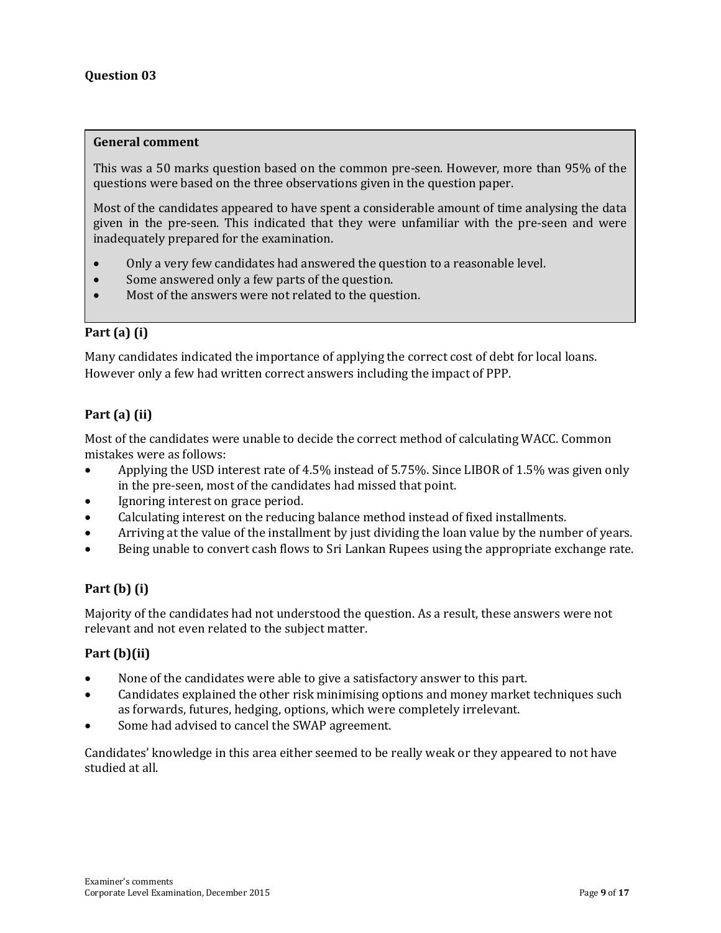#### **General comment**

This was a 50 marks question based on the common pre-seen. However, more than 95% of the questions were based on the three observations given in the question paper.

Most of the candidates appeared to have spent a considerable amount of time analysing the data given in the pre-seen. This indicated that they were unfamiliar with the pre-seen and were inadequately prepared for the examination.

- Only a very few candidates had answered the question to a reasonable level.
- Some answered only a few parts of the question.
- Most of the answers were not related to the question.

#### **Part (a) (i)**

Many candidates indicated the importance of applying the correct cost of debt for local loans. However only a few had written correct answers including the impact of PPP.

#### **Part (a) (ii)**

Most of the candidates were unable to decide the correct method of calculating WACC. Common mistakes were as follows:

- Applying the USD interest rate of 4.5% instead of 5.75%. Since LIBOR of 1.5% was given only in the pre-seen, most of the candidates had missed that point.
- Ignoring interest on grace period.
- Calculating interest on the reducing balance method instead of fixed installments.
- Arriving at the value of the installment by just dividing the loan value by the number of years.
- Being unable to convert cash flows to Sri Lankan Rupees using the appropriate exchange rate.

#### **Part (b) (i)**

Majority of the candidates had not understood the question. As a result, these answers were not relevant and not even related to the subject matter.

#### **Part (b)(ii)**

- None of the candidates were able to give a satisfactory answer to this part.
- Candidates explained the other risk minimising options and money market techniques such as forwards, futures, hedging, options, which were completely irrelevant.
- Some had advised to cancel the SWAP agreement.

Candidates' knowledge in this area either seemed to be really weak or they appeared to not have studied at all.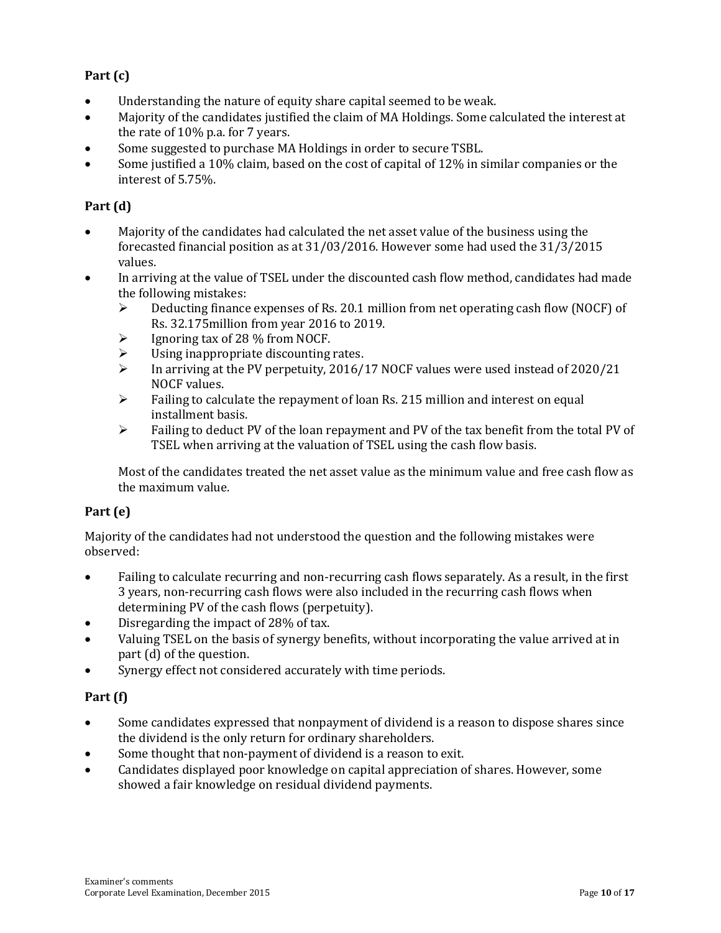#### **Part (c)**

- Understanding the nature of equity share capital seemed to be weak.
- Majority of the candidates justified the claim of MA Holdings. Some calculated the interest at the rate of 10% p.a. for 7 years.
- Some suggested to purchase MA Holdings in order to secure TSBL.
- Some justified a 10% claim, based on the cost of capital of 12% in similar companies or the interest of 5.75%.

#### **Part (d)**

- Majority of the candidates had calculated the net asset value of the business using the forecasted financial position as at 31/03/2016. However some had used the 31/3/2015 values.
- In arriving at the value of TSEL under the discounted cash flow method, candidates had made the following mistakes:
	- $\triangleright$  Deducting finance expenses of Rs. 20.1 million from net operating cash flow (NOCF) of Rs. 32.175million from year 2016 to 2019.
	- $\triangleright$  Ignoring tax of 28 % from NOCF.
	- $\triangleright$  Using inappropriate discounting rates.
	- In arriving at the PV perpetuity, 2016/17 NOCF values were used instead of 2020/21 NOCF values.
	- $\triangleright$  Failing to calculate the repayment of loan Rs. 215 million and interest on equal installment basis.
	- $\triangleright$  Failing to deduct PV of the loan repayment and PV of the tax benefit from the total PV of TSEL when arriving at the valuation of TSEL using the cash flow basis.

Most of the candidates treated the net asset value as the minimum value and free cash flow as the maximum value.

#### **Part (e)**

Majority of the candidates had not understood the question and the following mistakes were observed:

- Failing to calculate recurring and non-recurring cash flows separately. As a result, in the first 3 years, non-recurring cash flows were also included in the recurring cash flows when determining PV of the cash flows (perpetuity).
- Disregarding the impact of 28% of tax.
- Valuing TSEL on the basis of synergy benefits, without incorporating the value arrived at in part (d) of the question.
- Synergy effect not considered accurately with time periods.

#### **Part (f)**

- Some candidates expressed that nonpayment of dividend is a reason to dispose shares since the dividend is the only return for ordinary shareholders.
- Some thought that non-payment of dividend is a reason to exit.
- Candidates displayed poor knowledge on capital appreciation of shares. However, some showed a fair knowledge on residual dividend payments.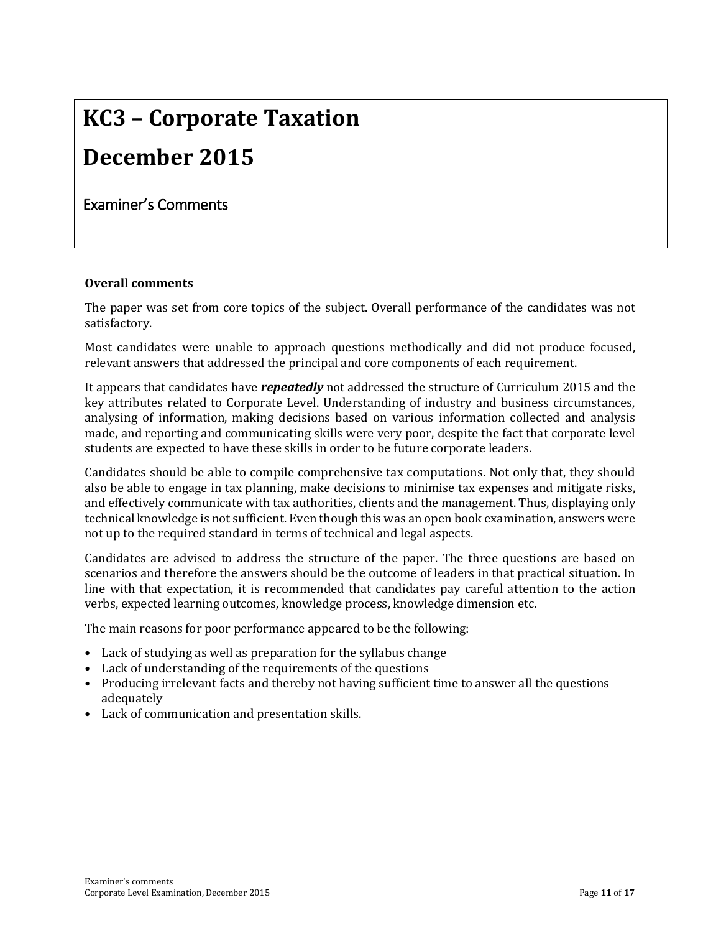## **KC3 – Corporate Taxation December 2015**

Examiner's Comments

#### **Overall comments**

The paper was set from core topics of the subject. Overall performance of the candidates was not satisfactory.

Most candidates were unable to approach questions methodically and did not produce focused, relevant answers that addressed the principal and core components of each requirement.

It appears that candidates have *repeatedly* not addressed the structure of Curriculum 2015 and the key attributes related to Corporate Level. Understanding of industry and business circumstances, analysing of information, making decisions based on various information collected and analysis made, and reporting and communicating skills were very poor, despite the fact that corporate level students are expected to have these skills in order to be future corporate leaders.

Candidates should be able to compile comprehensive tax computations. Not only that, they should also be able to engage in tax planning, make decisions to minimise tax expenses and mitigate risks, and effectively communicate with tax authorities, clients and the management. Thus, displaying only technical knowledge is not sufficient. Even though this was an open book examination, answers were not up to the required standard in terms of technical and legal aspects.

Candidates are advised to address the structure of the paper. The three questions are based on scenarios and therefore the answers should be the outcome of leaders in that practical situation. In line with that expectation, it is recommended that candidates pay careful attention to the action verbs, expected learning outcomes, knowledge process, knowledge dimension etc.

The main reasons for poor performance appeared to be the following:

- Lack of studying as well as preparation for the syllabus change
- Lack of understanding of the requirements of the questions
- Producing irrelevant facts and thereby not having sufficient time to answer all the questions adequately
- Lack of communication and presentation skills.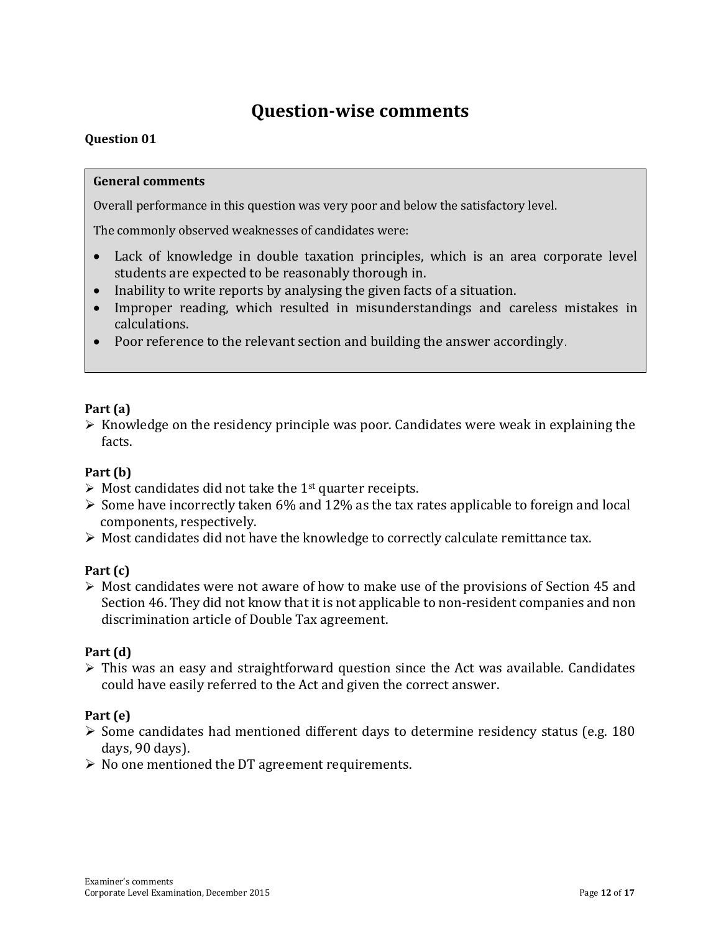## **Question-wise comments**

#### **Question 01**

#### **General comments**

Overall performance in this question was very poor and below the satisfactory level.

The commonly observed weaknesses of candidates were:

- Lack of knowledge in double taxation principles, which is an area corporate level students are expected to be reasonably thorough in.
- Inability to write reports by analysing the given facts of a situation.
- Improper reading, which resulted in misunderstandings and careless mistakes in calculations.
- Poor reference to the relevant section and building the answer accordingly.

#### **Part (a)**

 $\triangleright$  Knowledge on the residency principle was poor. Candidates were weak in explaining the facts.

#### **Part (b)**

- $\triangleright$  Most candidates did not take the 1<sup>st</sup> quarter receipts.
- $\triangleright$  Some have incorrectly taken 6% and 12% as the tax rates applicable to foreign and local components, respectively.
- $\triangleright$  Most candidates did not have the knowledge to correctly calculate remittance tax.

#### **Part (c)**

 $\triangleright$  Most candidates were not aware of how to make use of the provisions of Section 45 and Section 46. They did not know that it is not applicable to non-resident companies and non discrimination article of Double Tax agreement.

#### **Part (d)**

 $\triangleright$  This was an easy and straightforward question since the Act was available. Candidates could have easily referred to the Act and given the correct answer.

#### **Part (e)**

- $\triangleright$  Some candidates had mentioned different days to determine residency status (e.g. 180) days, 90 days).
- $\triangleright$  No one mentioned the DT agreement requirements.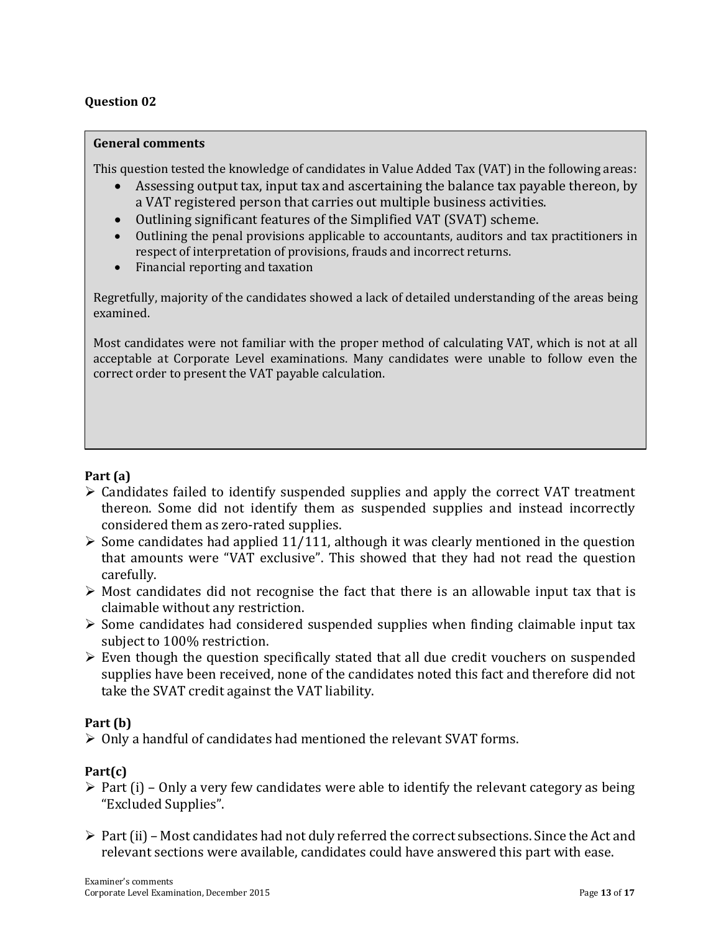#### **Question 02**

#### **General comments**

This question tested the knowledge of candidates in Value Added Tax (VAT) in the following areas:

- Assessing output tax, input tax and ascertaining the balance tax payable thereon, by a VAT registered person that carries out multiple business activities.
- Outlining significant features of the Simplified VAT (SVAT) scheme.
- Outlining the penal provisions applicable to accountants, auditors and tax practitioners in respect of interpretation of provisions, frauds and incorrect returns.
- Financial reporting and taxation

Regretfully, majority of the candidates showed a lack of detailed understanding of the areas being examined.

Most candidates were not familiar with the proper method of calculating VAT, which is not at all acceptable at Corporate Level examinations. Many candidates were unable to follow even the correct order to present the VAT payable calculation.

#### **Part (a)**

- $\triangleright$  Candidates failed to identify suspended supplies and apply the correct VAT treatment thereon. Some did not identify them as suspended supplies and instead incorrectly considered them as zero-rated supplies.
- $\triangleright$  Some candidates had applied 11/111, although it was clearly mentioned in the question that amounts were "VAT exclusive". This showed that they had not read the question carefully.
- $\triangleright$  Most candidates did not recognise the fact that there is an allowable input tax that is claimable without any restriction.
- $\triangleright$  Some candidates had considered suspended supplies when finding claimable input tax subject to 100% restriction.
- $\triangleright$  Even though the question specifically stated that all due credit vouchers on suspended supplies have been received, none of the candidates noted this fact and therefore did not take the SVAT credit against the VAT liability.

#### **Part (b)**

 $\triangleright$  Only a handful of candidates had mentioned the relevant SVAT forms.

#### **Part(c)**

- $\triangleright$  Part (i) Only a very few candidates were able to identify the relevant category as being "Excluded Supplies".
- $\triangleright$  Part (ii) Most candidates had not duly referred the correct subsections. Since the Act and relevant sections were available, candidates could have answered this part with ease.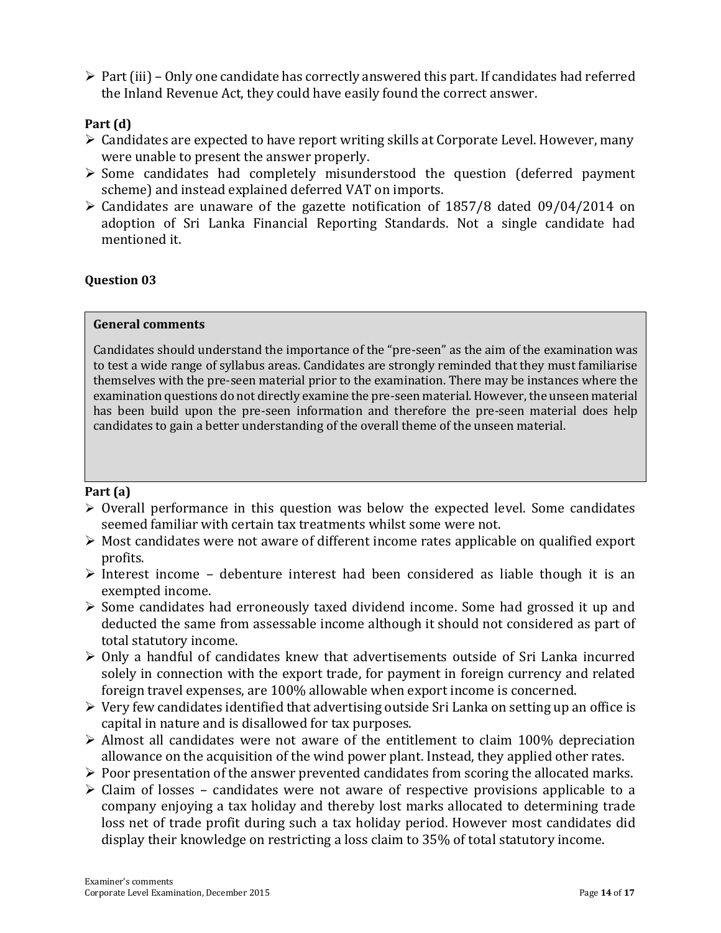$\triangleright$  Part (iii) – Only one candidate has correctly answered this part. If candidates had referred the Inland Revenue Act, they could have easily found the correct answer.

#### **Part (d)**

- $\triangleright$  Candidates are expected to have report writing skills at Corporate Level. However, many were unable to present the answer properly.
- $\triangleright$  Some candidates had completely misunderstood the question (deferred payment scheme) and instead explained deferred VAT on imports.
- $\geq$  Candidates are unaware of the gazette notification of 1857/8 dated 09/04/2014 on adoption of Sri Lanka Financial Reporting Standards. Not a single candidate had mentioned it.

#### **Question 03**

#### **General comments**

Candidates should understand the importance of the "pre-seen" as the aim of the examination was to test a wide range of syllabus areas. Candidates are strongly reminded that they must familiarise themselves with the pre-seen material prior to the examination. There may be instances where the examination questions do not directly examine the pre-seen material. However, the unseen material has been build upon the pre-seen information and therefore the pre-seen material does help candidates to gain a better understanding of the overall theme of the unseen material.

#### **Part (a)**

- $\triangleright$  Overall performance in this question was below the expected level. Some candidates seemed familiar with certain tax treatments whilst some were not.
- $\triangleright$  Most candidates were not aware of different income rates applicable on qualified export profits.
- $\triangleright$  Interest income debenture interest had been considered as liable though it is an exempted income.
- $\triangleright$  Some candidates had erroneously taxed dividend income. Some had grossed it up and deducted the same from assessable income although it should not considered as part of total statutory income.
- $\triangleright$  Only a handful of candidates knew that advertisements outside of Sri Lanka incurred solely in connection with the export trade, for payment in foreign currency and related foreign travel expenses, are 100% allowable when export income is concerned.
- $\triangleright$  Very few candidates identified that advertising outside Sri Lanka on setting up an office is capital in nature and is disallowed for tax purposes.
- $\triangleright$  Almost all candidates were not aware of the entitlement to claim 100% depreciation allowance on the acquisition of the wind power plant. Instead, they applied other rates.
- $\triangleright$  Poor presentation of the answer prevented candidates from scoring the allocated marks.
- $\triangleright$  Claim of losses candidates were not aware of respective provisions applicable to a company enjoying a tax holiday and thereby lost marks allocated to determining trade loss net of trade profit during such a tax holiday period. However most candidates did display their knowledge on restricting a loss claim to 35% of total statutory income.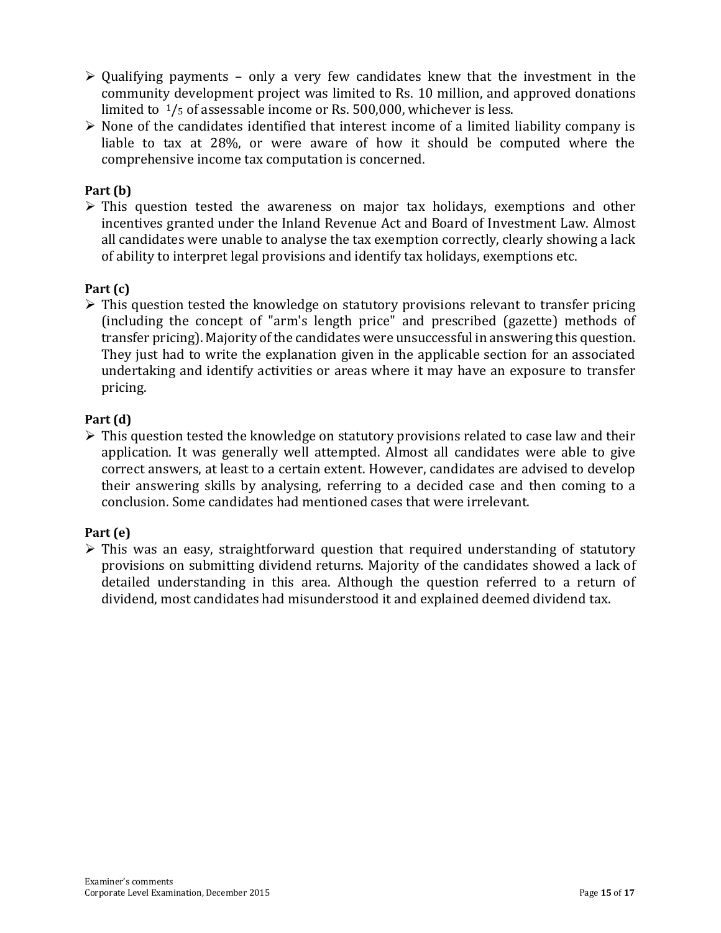- $\triangleright$  Qualifying payments only a very few candidates knew that the investment in the community development project was limited to Rs. 10 million, and approved donations limited to  $\frac{1}{5}$  of assessable income or Rs. 500,000, whichever is less.
- $\triangleright$  None of the candidates identified that interest income of a limited liability company is liable to tax at 28%, or were aware of how it should be computed where the comprehensive income tax computation is concerned.

#### **Part (b)**

 $\triangleright$  This question tested the awareness on major tax holidays, exemptions and other incentives granted under the Inland Revenue Act and Board of Investment Law. Almost all candidates were unable to analyse the tax exemption correctly, clearly showing a lack of ability to interpret legal provisions and identify tax holidays, exemptions etc.

#### **Part (c)**

 $\triangleright$  This question tested the knowledge on statutory provisions relevant to transfer pricing (including the concept of "arm's length price" and prescribed (gazette) methods of transfer pricing). Majority of the candidates were unsuccessful in answering this question. They just had to write the explanation given in the applicable section for an associated undertaking and identify activities or areas where it may have an exposure to transfer pricing.

#### **Part (d)**

 $\triangleright$  This question tested the knowledge on statutory provisions related to case law and their application. It was generally well attempted. Almost all candidates were able to give correct answers, at least to a certain extent. However, candidates are advised to develop their answering skills by analysing, referring to a decided case and then coming to a conclusion. Some candidates had mentioned cases that were irrelevant.

#### **Part (e)**

 $\triangleright$  This was an easy, straightforward question that required understanding of statutory provisions on submitting dividend returns. Majority of the candidates showed a lack of detailed understanding in this area. Although the question referred to a return of dividend, most candidates had misunderstood it and explained deemed dividend tax.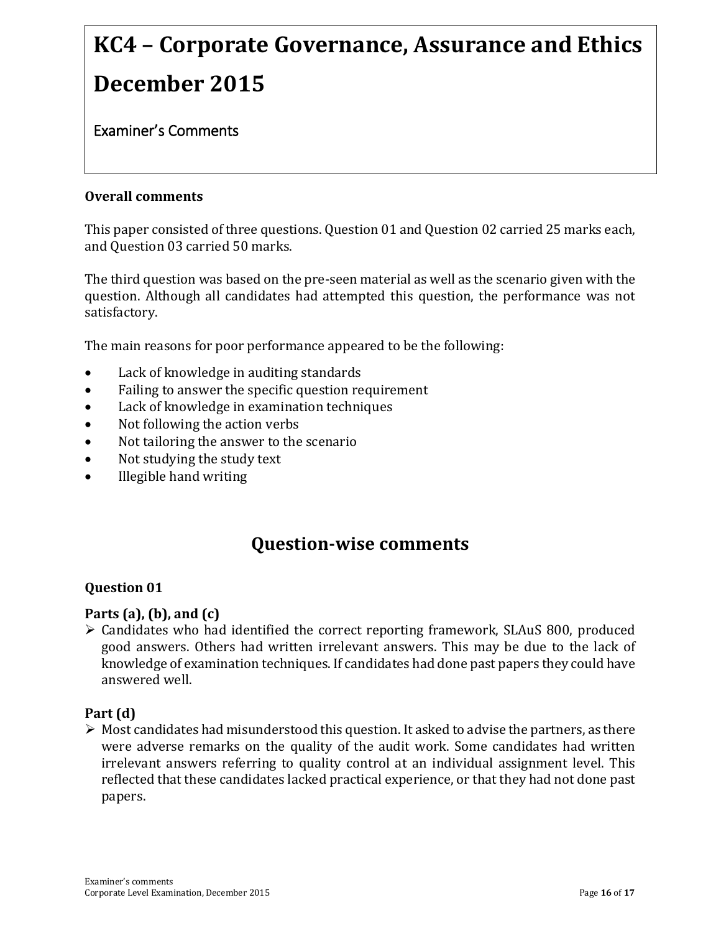## **KC4 – Corporate Governance, Assurance and Ethics December 2015**

#### Examiner's Comments

#### **Overall comments**

This paper consisted of three questions. Question 01 and Question 02 carried 25 marks each, and Question 03 carried 50 marks.

The third question was based on the pre-seen material as well as the scenario given with the question. Although all candidates had attempted this question, the performance was not satisfactory.

The main reasons for poor performance appeared to be the following:

- Lack of knowledge in auditing standards
- Failing to answer the specific question requirement
- Lack of knowledge in examination techniques
- Not following the action verbs
- Not tailoring the answer to the scenario
- Not studying the study text
- Illegible hand writing

### **Question-wise comments**

#### **Question 01**

#### **Parts (a), (b), and (c)**

 $\triangleright$  Candidates who had identified the correct reporting framework, SLAuS 800, produced good answers. Others had written irrelevant answers. This may be due to the lack of knowledge of examination techniques. If candidates had done past papers they could have answered well.

#### **Part (d)**

 $\triangleright$  Most candidates had misunderstood this question. It asked to advise the partners, as there were adverse remarks on the quality of the audit work. Some candidates had written irrelevant answers referring to quality control at an individual assignment level. This reflected that these candidates lacked practical experience, or that they had not done past papers.